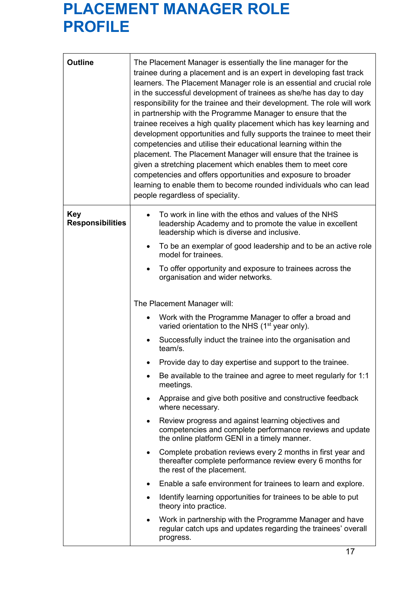## PLACEMENT MANAGER ROLE PROFILE

| <b>Outline</b>                        | The Placement Manager is essentially the line manager for the<br>trainee during a placement and is an expert in developing fast track<br>learners. The Placement Manager role is an essential and crucial role<br>in the successful development of trainees as she/he has day to day<br>responsibility for the trainee and their development. The role will work<br>in partnership with the Programme Manager to ensure that the<br>trainee receives a high quality placement which has key learning and<br>development opportunities and fully supports the trainee to meet their<br>competencies and utilise their educational learning within the<br>placement. The Placement Manager will ensure that the trainee is<br>given a stretching placement which enables them to meet core<br>competencies and offers opportunities and exposure to broader<br>learning to enable them to become rounded individuals who can lead<br>people regardless of speciality. |
|---------------------------------------|---------------------------------------------------------------------------------------------------------------------------------------------------------------------------------------------------------------------------------------------------------------------------------------------------------------------------------------------------------------------------------------------------------------------------------------------------------------------------------------------------------------------------------------------------------------------------------------------------------------------------------------------------------------------------------------------------------------------------------------------------------------------------------------------------------------------------------------------------------------------------------------------------------------------------------------------------------------------|
| <b>Key</b><br><b>Responsibilities</b> | To work in line with the ethos and values of the NHS<br>leadership Academy and to promote the value in excellent<br>leadership which is diverse and inclusive.                                                                                                                                                                                                                                                                                                                                                                                                                                                                                                                                                                                                                                                                                                                                                                                                      |
|                                       | To be an exemplar of good leadership and to be an active role<br>model for trainees.                                                                                                                                                                                                                                                                                                                                                                                                                                                                                                                                                                                                                                                                                                                                                                                                                                                                                |
|                                       | To offer opportunity and exposure to trainees across the<br>organisation and wider networks.                                                                                                                                                                                                                                                                                                                                                                                                                                                                                                                                                                                                                                                                                                                                                                                                                                                                        |
|                                       | The Placement Manager will:                                                                                                                                                                                                                                                                                                                                                                                                                                                                                                                                                                                                                                                                                                                                                                                                                                                                                                                                         |
|                                       | Work with the Programme Manager to offer a broad and<br>varied orientation to the NHS (1 <sup>st</sup> year only).                                                                                                                                                                                                                                                                                                                                                                                                                                                                                                                                                                                                                                                                                                                                                                                                                                                  |
|                                       | Successfully induct the trainee into the organisation and<br>team/s.                                                                                                                                                                                                                                                                                                                                                                                                                                                                                                                                                                                                                                                                                                                                                                                                                                                                                                |
|                                       | Provide day to day expertise and support to the trainee.                                                                                                                                                                                                                                                                                                                                                                                                                                                                                                                                                                                                                                                                                                                                                                                                                                                                                                            |
|                                       | Be available to the trainee and agree to meet regularly for 1:1<br>meetings.                                                                                                                                                                                                                                                                                                                                                                                                                                                                                                                                                                                                                                                                                                                                                                                                                                                                                        |
|                                       | Appraise and give both positive and constructive feedback<br>where necessary.                                                                                                                                                                                                                                                                                                                                                                                                                                                                                                                                                                                                                                                                                                                                                                                                                                                                                       |
|                                       | Review progress and against learning objectives and<br>٠<br>competencies and complete performance reviews and update<br>the online platform GENI in a timely manner.                                                                                                                                                                                                                                                                                                                                                                                                                                                                                                                                                                                                                                                                                                                                                                                                |
|                                       | Complete probation reviews every 2 months in first year and<br>٠<br>thereafter complete performance review every 6 months for<br>the rest of the placement.                                                                                                                                                                                                                                                                                                                                                                                                                                                                                                                                                                                                                                                                                                                                                                                                         |
|                                       | Enable a safe environment for trainees to learn and explore.<br>٠                                                                                                                                                                                                                                                                                                                                                                                                                                                                                                                                                                                                                                                                                                                                                                                                                                                                                                   |
|                                       | Identify learning opportunities for trainees to be able to put<br>٠<br>theory into practice.                                                                                                                                                                                                                                                                                                                                                                                                                                                                                                                                                                                                                                                                                                                                                                                                                                                                        |
|                                       | Work in partnership with the Programme Manager and have<br>regular catch ups and updates regarding the trainees' overall<br>progress.                                                                                                                                                                                                                                                                                                                                                                                                                                                                                                                                                                                                                                                                                                                                                                                                                               |